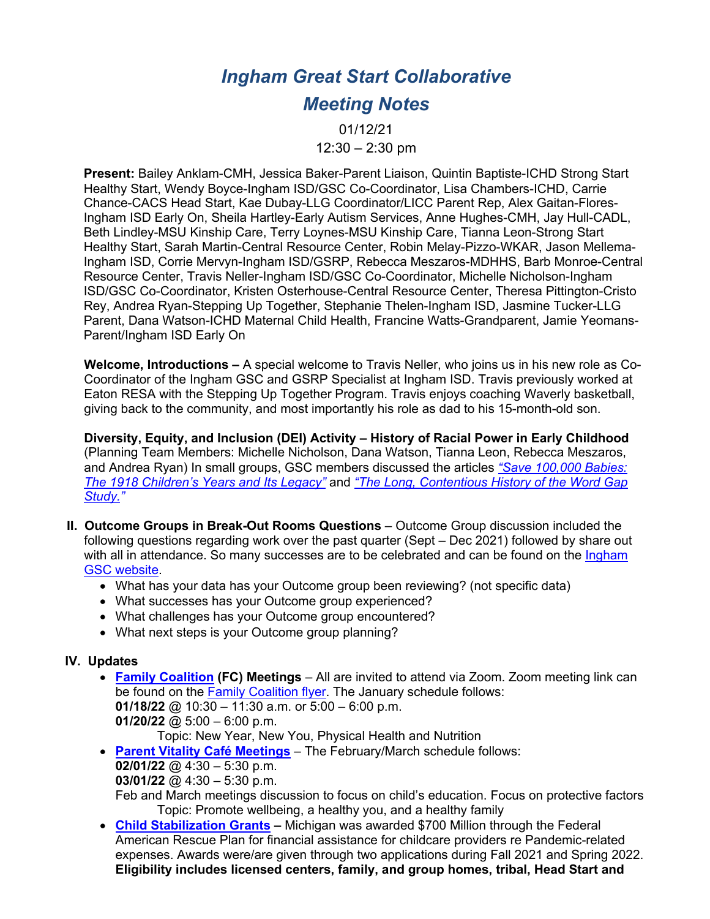# *Ingham Great Start Collaborative*

# *Meeting Notes*

01/12/21  $12:30 - 2:30$  pm

**Present:** Bailey Anklam-CMH, Jessica Baker-Parent Liaison, Quintin Baptiste-ICHD Strong Start Healthy Start, Wendy Boyce-Ingham ISD/GSC Co-Coordinator, Lisa Chambers-ICHD, Carrie Chance-CACS Head Start, Kae Dubay-LLG Coordinator/LICC Parent Rep, Alex Gaitan-Flores-Ingham ISD Early On, Sheila Hartley-Early Autism Services, Anne Hughes-CMH, Jay Hull-CADL, Beth Lindley-MSU Kinship Care, Terry Loynes-MSU Kinship Care, Tianna Leon-Strong Start Healthy Start, Sarah Martin-Central Resource Center, Robin Melay-Pizzo-WKAR, Jason Mellema-Ingham ISD, Corrie Mervyn-Ingham ISD/GSRP, Rebecca Meszaros-MDHHS, Barb Monroe-Central Resource Center, Travis Neller-Ingham ISD/GSC Co-Coordinator, Michelle Nicholson-Ingham ISD/GSC Co-Coordinator, Kristen Osterhouse-Central Resource Center, Theresa Pittington-Cristo Rey, Andrea Ryan-Stepping Up Together, Stephanie Thelen-Ingham ISD, Jasmine Tucker-LLG Parent, Dana Watson-ICHD Maternal Child Health, Francine Watts-Grandparent, Jamie Yeomans-Parent/Ingham ISD Early On

**Welcome, Introductions –** A special welcome to Travis Neller, who joins us in his new role as Co-Coordinator of the Ingham GSC and GSRP Specialist at Ingham ISD. Travis previously worked at Eaton RESA with the Stepping Up Together Program. Travis enjoys coaching Waverly basketball, giving back to the community, and most importantly his role as dad to his 15-month-old son.

**Diversity, Equity, and Inclusion (DEI) Activity – History of Racial Power in Early Childhood** (Planning Team Members: Michelle Nicholson, Dana Watson, Tianna Leon, Rebecca Meszaros, and Andrea Ryan) In small groups, GSC members discussed the articles *"Save 100,000 Babies: The 1918 Children's Years and Its Legacy"* and *"The Long, Contentious History of the Word Gap Study."*

- **II. Outcome Groups in Break-Out Rooms Questions** Outcome Group discussion included the following questions regarding work over the past quarter (Sept – Dec 2021) followed by share out with all in attendance. So many successes are to be celebrated and can be found on the Ingham GSC website.
	- What has your data has your Outcome group been reviewing? (not specific data)
	- What successes has your Outcome group experienced?
	- What challenges has your Outcome group encountered?
	- What next steps is your Outcome group planning?

#### **IV. Updates**

• **Family Coalition (FC) Meetings** – All are invited to attend via Zoom. Zoom meeting link can be found on the Family Coalition flyer. The January schedule follows: **01/18/22** @ 10:30 – 11:30 a.m. or 5:00 – 6:00 p.m.

**01/20/22** @ 5:00 – 6:00 p.m.

Topic: New Year, New You, Physical Health and Nutrition

- **Parent Vitality Café Meetings** The February/March schedule follows:
	- **02/01/22** @ 4:30 5:30 p.m.
	- **03/01/22** @ 4:30 5:30 p.m.

Feb and March meetings discussion to focus on child's education. Focus on protective factors Topic: Promote wellbeing, a healthy you, and a healthy family

• **Child Stabilization Grants –** Michigan was awarded \$700 Million through the Federal American Rescue Plan for financial assistance for childcare providers re Pandemic-related expenses. Awards were/are given through two applications during Fall 2021 and Spring 2022. **Eligibility includes licensed centers, family, and group homes, tribal, Head Start and**